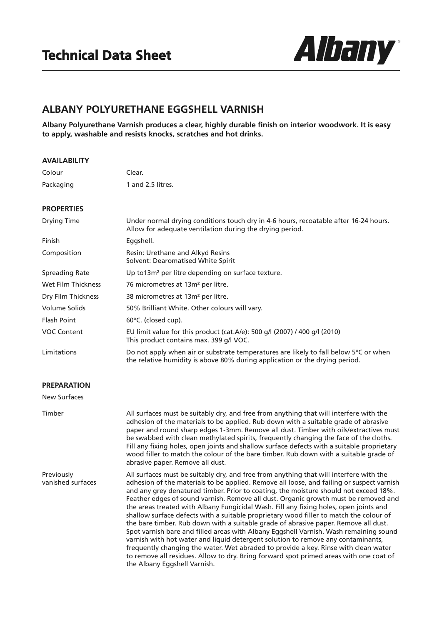

## **ALBANY POLYURETHANE EGGSHELL VARNISH**

**Albany Polyurethane Varnish produces a clear, highly durable finish on interior woodwork. It is easy to apply, washable and resists knocks, scratches and hot drinks.**

| <b>AVAILABILITY</b>             |                                                                                                                                                                                                                                                                                                                                                                                                                                                                                                                                                                                                                                                                                                                                                                                                                                                                                                                                                                                                                                            |
|---------------------------------|--------------------------------------------------------------------------------------------------------------------------------------------------------------------------------------------------------------------------------------------------------------------------------------------------------------------------------------------------------------------------------------------------------------------------------------------------------------------------------------------------------------------------------------------------------------------------------------------------------------------------------------------------------------------------------------------------------------------------------------------------------------------------------------------------------------------------------------------------------------------------------------------------------------------------------------------------------------------------------------------------------------------------------------------|
| Colour                          | Clear.                                                                                                                                                                                                                                                                                                                                                                                                                                                                                                                                                                                                                                                                                                                                                                                                                                                                                                                                                                                                                                     |
| Packaging                       | 1 and 2.5 litres.                                                                                                                                                                                                                                                                                                                                                                                                                                                                                                                                                                                                                                                                                                                                                                                                                                                                                                                                                                                                                          |
| <b>PROPERTIES</b>               |                                                                                                                                                                                                                                                                                                                                                                                                                                                                                                                                                                                                                                                                                                                                                                                                                                                                                                                                                                                                                                            |
| Drying Time                     | Under normal drying conditions touch dry in 4-6 hours, recoatable after 16-24 hours.<br>Allow for adequate ventilation during the drying period.                                                                                                                                                                                                                                                                                                                                                                                                                                                                                                                                                                                                                                                                                                                                                                                                                                                                                           |
| Finish                          | Eggshell.                                                                                                                                                                                                                                                                                                                                                                                                                                                                                                                                                                                                                                                                                                                                                                                                                                                                                                                                                                                                                                  |
| Composition                     | Resin: Urethane and Alkyd Resins<br>Solvent: Dearomatised White Spirit                                                                                                                                                                                                                                                                                                                                                                                                                                                                                                                                                                                                                                                                                                                                                                                                                                                                                                                                                                     |
| <b>Spreading Rate</b>           | Up to13m <sup>2</sup> per litre depending on surface texture.                                                                                                                                                                                                                                                                                                                                                                                                                                                                                                                                                                                                                                                                                                                                                                                                                                                                                                                                                                              |
| Wet Film Thickness              | 76 micrometres at 13m <sup>2</sup> per litre.                                                                                                                                                                                                                                                                                                                                                                                                                                                                                                                                                                                                                                                                                                                                                                                                                                                                                                                                                                                              |
| Dry Film Thickness              | 38 micrometres at 13m <sup>2</sup> per litre.                                                                                                                                                                                                                                                                                                                                                                                                                                                                                                                                                                                                                                                                                                                                                                                                                                                                                                                                                                                              |
| <b>Volume Solids</b>            | 50% Brilliant White. Other colours will vary.                                                                                                                                                                                                                                                                                                                                                                                                                                                                                                                                                                                                                                                                                                                                                                                                                                                                                                                                                                                              |
| <b>Flash Point</b>              | 60°C. (closed cup).                                                                                                                                                                                                                                                                                                                                                                                                                                                                                                                                                                                                                                                                                                                                                                                                                                                                                                                                                                                                                        |
| <b>VOC Content</b>              | EU limit value for this product (cat.A/e): 500 g/l (2007) / 400 g/l (2010)<br>This product contains max. 399 g/l VOC.                                                                                                                                                                                                                                                                                                                                                                                                                                                                                                                                                                                                                                                                                                                                                                                                                                                                                                                      |
| Limitations                     | Do not apply when air or substrate temperatures are likely to fall below 5°C or when<br>the relative humidity is above 80% during application or the drying period.                                                                                                                                                                                                                                                                                                                                                                                                                                                                                                                                                                                                                                                                                                                                                                                                                                                                        |
| <b>PREPARATION</b>              |                                                                                                                                                                                                                                                                                                                                                                                                                                                                                                                                                                                                                                                                                                                                                                                                                                                                                                                                                                                                                                            |
| <b>New Surfaces</b>             |                                                                                                                                                                                                                                                                                                                                                                                                                                                                                                                                                                                                                                                                                                                                                                                                                                                                                                                                                                                                                                            |
| Timber                          | All surfaces must be suitably dry, and free from anything that will interfere with the<br>adhesion of the materials to be applied. Rub down with a suitable grade of abrasive<br>paper and round sharp edges 1-3mm. Remove all dust. Timber with oils/extractives must<br>be swabbed with clean methylated spirits, frequently changing the face of the cloths.<br>Fill any fixing holes, open joints and shallow surface defects with a suitable proprietary<br>wood filler to match the colour of the bare timber. Rub down with a suitable grade of<br>abrasive paper. Remove all dust.                                                                                                                                                                                                                                                                                                                                                                                                                                                 |
| Previously<br>vanished surfaces | All surfaces must be suitably dry, and free from anything that will interfere with the<br>adhesion of the materials to be applied. Remove all loose, and failing or suspect varnish<br>and any grey denatured timber. Prior to coating, the moisture should not exceed 18%.<br>Feather edges of sound varnish. Remove all dust. Organic growth must be removed and<br>the areas treated with Albany Fungicidal Wash. Fill any fixing holes, open joints and<br>shallow surface defects with a suitable proprietary wood filler to match the colour of<br>the bare timber. Rub down with a suitable grade of abrasive paper. Remove all dust.<br>Spot varnish bare and filled areas with Albany Eggshell Varnish. Wash remaining sound<br>varnish with hot water and liquid detergent solution to remove any contaminants,<br>frequently changing the water. Wet abraded to provide a key. Rinse with clean water<br>to remove all residues. Allow to dry. Bring forward spot primed areas with one coat of<br>the Albany Eggshell Varnish. |